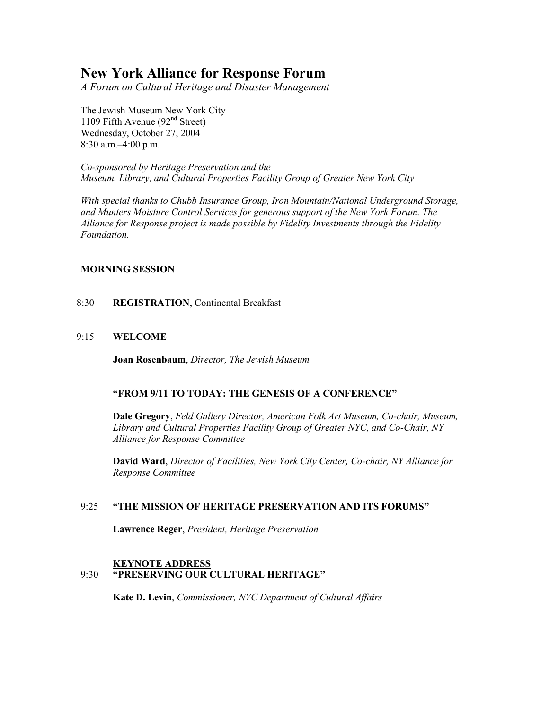# **New York Alliance for Response Forum**

*A Forum on Cultural Heritage and Disaster Management*

The Jewish Museum New York City 1109 Fifth Avenue  $(92<sup>nd</sup> Street)$ Wednesday, October 27, 2004 8:30 a.m.–4:00 p.m.

*Co-sponsored by Heritage Preservation and the Museum, Library, and Cultural Properties Facility Group of Greater New York City* 

*With special thanks to Chubb Insurance Group, Iron Mountain/National Underground Storage, and Munters Moisture Control Services for generous support of the New York Forum. The Alliance for Response project is made possible by Fidelity Investments through the Fidelity Foundation.*

## **MORNING SESSION**

## 8:30 **REGISTRATION**, Continental Breakfast

## 9:15 **WELCOME**

**Joan Rosenbaum**, *Director, The Jewish Museum*

# **"FROM 9/11 TO TODAY: THE GENESIS OF A CONFERENCE"**

**Dale Gregory**, *Feld Gallery Director, American Folk Art Museum, Co-chair, Museum, Library and Cultural Properties Facility Group of Greater NYC, and Co-Chair, NY Alliance for Response Committee*

**David Ward**, *Director of Facilities, New York City Center, Co-chair, NY Alliance for Response Committee*

## 9:25 **"THE MISSION OF HERITAGE PRESERVATION AND ITS FORUMS"**

**Lawrence Reger**, *President, Heritage Preservation*

# **KEYNOTE ADDRESS** 9:30 **"PRESERVING OUR CULTURAL HERITAGE"**

**Kate D. Levin**, *Commissioner, NYC Department of Cultural Affairs*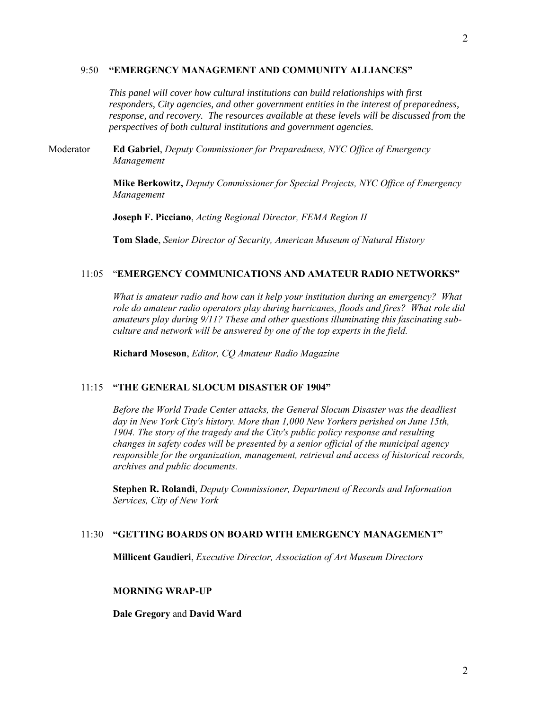#### 9:50 **"EMERGENCY MANAGEMENT AND COMMUNITY ALLIANCES"**

*This panel will cover how cultural institutions can build relationships with first responders, City agencies, and other government entities in the interest of preparedness, response, and recovery. The resources available at these levels will be discussed from the perspectives of both cultural institutions and government agencies.*

Moderator **Ed Gabriel**, *Deputy Commissioner for Preparedness, NYC Office of Emergency Management*

> **Mike Berkowitz,** *Deputy Commissioner for Special Projects, NYC Office of Emergency Management*

**Joseph F. Picciano**, *Acting Regional Director, FEMA Region II*

**Tom Slade**, *Senior Director of Security, American Museum of Natural History*

#### 11:05 "**EMERGENCY COMMUNICATIONS AND AMATEUR RADIO NETWORKS"**

*What is amateur radio and how can it help your institution during an emergency? What role do amateur radio operators play during hurricanes, floods and fires? What role did amateurs play during 9/11? These and other questions illuminating this fascinating subculture and network will be answered by one of the top experts in the field.*

**Richard Moseson**, *Editor, CQ Amateur Radio Magazine*

#### 11:15 **"THE GENERAL SLOCUM DISASTER OF 1904"**

*Before the World Trade Center attacks, the General Slocum Disaster was the deadliest day in New York City's history. More than 1,000 New Yorkers perished on June 15th, 1904. The story of the tragedy and the City's public policy response and resulting changes in safety codes will be presented by a senior official of the municipal agency responsible for the organization, management, retrieval and access of historical records, archives and public documents.*

**Stephen R. Rolandi**, *Deputy Commissioner, Department of Records and Information Services, City of New York*

#### 11:30 **"GETTING BOARDS ON BOARD WITH EMERGENCY MANAGEMENT"**

**Millicent Gaudieri**, *Executive Director, Association of Art Museum Directors*

#### **MORNING WRAP-UP**

**Dale Gregory** and **David Ward**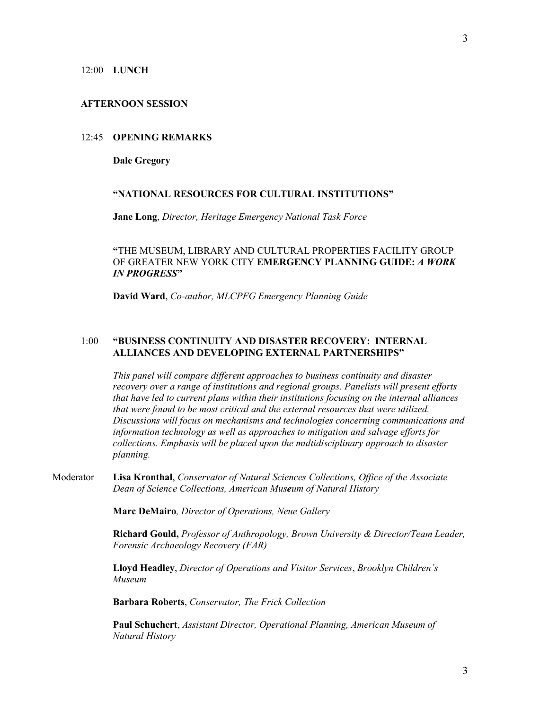#### 12:00 **LUNCH**

#### **AFTERNOON SESSION**

## 12:45 **OPENING REMARKS**

#### **Dale Gregory**

## **"NATIONAL RESOURCES FOR CULTURAL INSTITUTIONS"**

**Jane Long**, *Director, Heritage Emergency National Task Force*

**"**THE MUSEUM, LIBRARY AND CULTURAL PROPERTIES FACILITY GROUP OF GREATER NEW YORK CITY **EMERGENCY PLANNING GUIDE:** *A WORK IN PROGRESS***"**

**David Ward**, *Co-author, MLCPFG Emergency Planning Guide*

# 1:00 **"BUSINESS CONTINUITY AND DISASTER RECOVERY: INTERNAL ALLIANCES AND DEVELOPING EXTERNAL PARTNERSHIPS"**

*This panel will compare different approaches to business continuity and disaster recovery over a range of institutions and regional groups. Panelists will present efforts that have led to current plans within their institutions focusing on the internal alliances that were found to be most critical and the external resources that were utilized. Discussions will focus on mechanisms and technologies concerning communications and information technology as well as approaches to mitigation and salvage efforts for collections. Emphasis will be placed upon the multidisciplinary approach to disaster planning.*

Moderator **Lisa Kronthal**, *Conservator of Natural Sciences Collections, Office of the Associate Dean of Science Collections, American Museum of Natural History*

**Marc DeMairo***, Director of Operations, Neue Gallery*

**Richard Gould,** *Professor of Anthropology, Brown University & Director/Team Leader, Forensic Archaeology Recovery (FAR)*

**Lloyd Headley**, *Director of Operations and Visitor Services*, *Brooklyn Children's Museum*

**Barbara Roberts**, *Conservator, The Frick Collection*

**Paul Schuchert**, *Assistant Director, Operational Planning, American Museum of Natural History*